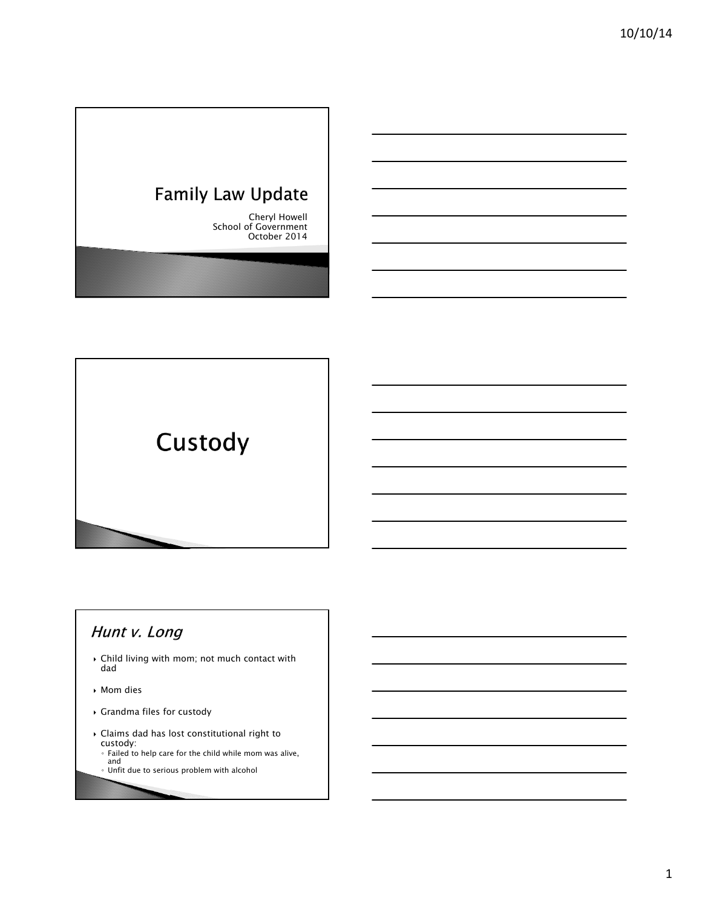# **Family Law Update**

Cheryl Howell School of Government October 2014



## Hunt v. Long

- Child living with mom; not much contact with dad
- Mom dies
- Grandma files for custody
- Claims dad has lost constitutional right to custody:
	- Failed to help care for the child while mom was alive, and ◦ Unfit due to serious problem with alcohol
	-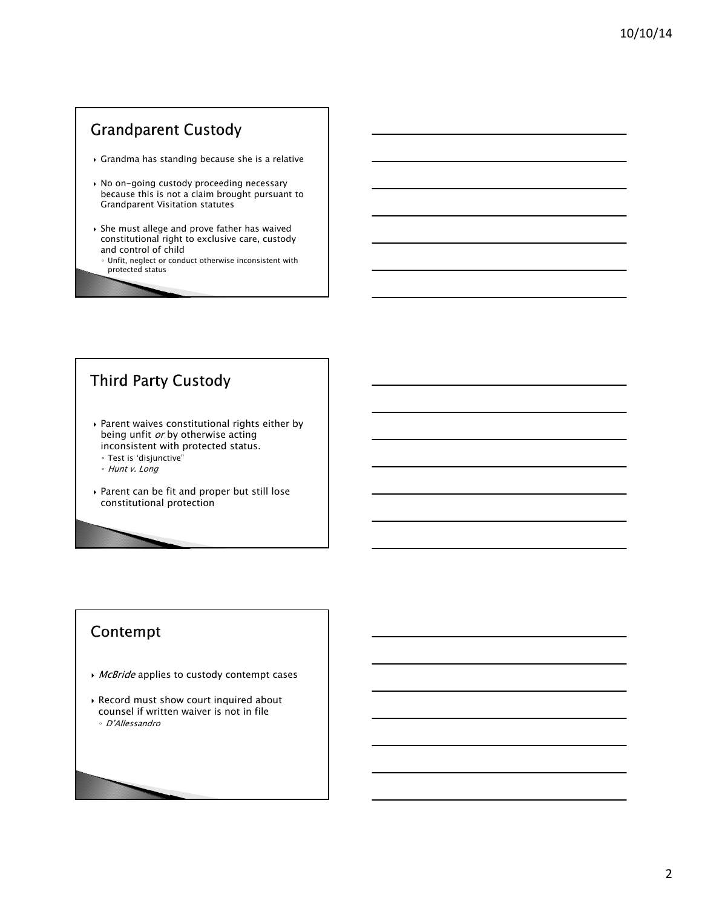## **Grandparent Custody**

- Grandma has standing because she is a relative
- No on-going custody proceeding necessary because this is not a claim brought pursuant to Grandparent Visitation statutes
- She must allege and prove father has waived constitutional right to exclusive care, custody and control of child
	- Unfit, neglect or conduct otherwise inconsistent with protected status

## **Third Party Custody**

- Parent waives constitutional rights either by being unfit or by otherwise acting inconsistent with protected status.
	- Test is 'disjunctive"
	- Hunt v. Long
- Parent can be fit and proper but still lose constitutional protection

#### Contempt

- McBride applies to custody contempt cases
- Record must show court inquired about counsel if written waiver is not in file ◦ D'Allessandro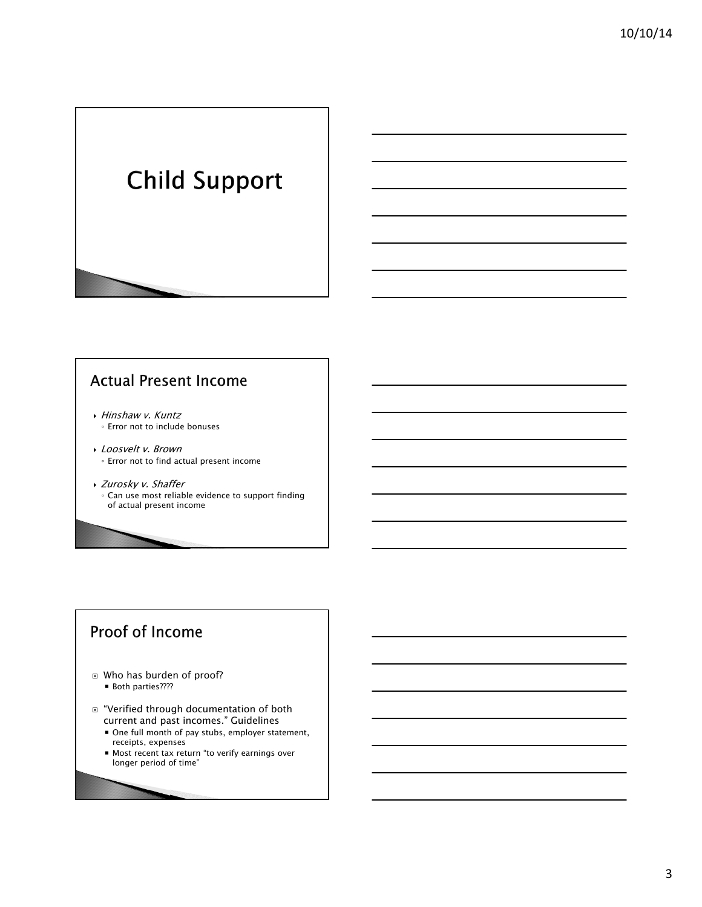# **Child Support**

#### **Actual Present Income**

- Hinshaw v. Kuntz ◦ Error not to include bonuses
- Loosvelt v. Brown ◦ Error not to find actual present income
- Zurosky v. Shaffer ◦ Can use most reliable evidence to support finding of actual present income

## Proof of Income

- Who has burden of proof? Both parties????
- "Verified through documentation of both current and past incomes." Guidelines
	- One full month of pay stubs, employer statement, receipts, expenses
	- Most recent tax return "to verify earnings over longer period of time"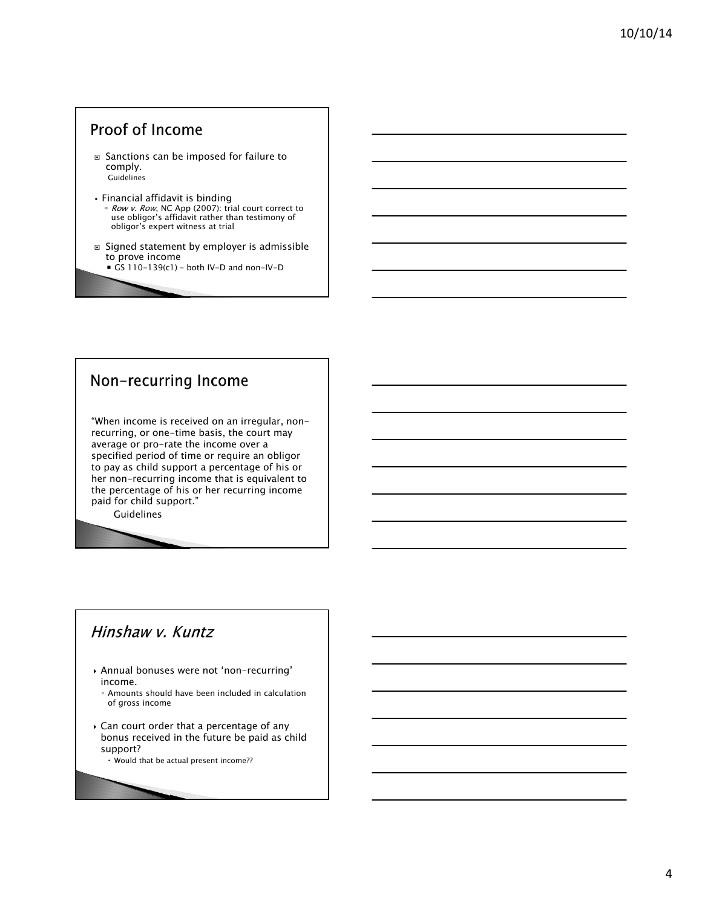#### Proof of Income

- □ Sanctions can be imposed for failure to comply. **Guidelines**
- Financial affidavit is binding Row v. Row, NC App (2007): trial court correct to use obligor's affidavit rather than testimony of obligor's expert witness at trial
- □ Signed statement by employer is admissible to prove income
	- GS 110-139(c1) both IV-D and non-IV-D

#### Non-recurring Income

"When income is received on an irregular, nonrecurring, or one-time basis, the court may average or pro-rate the income over a specified period of time or require an obligor to pay as child support a percentage of his or her non-recurring income that is equivalent to the percentage of his or her recurring income paid for child support."

Guidelines

#### Hinshaw v. Kuntz

- Annual bonuses were not 'non-recurring' income.
	- Amounts should have been included in calculation of gross income
- Can court order that a percentage of any bonus received in the future be paid as child support?
	- Would that be actual present income??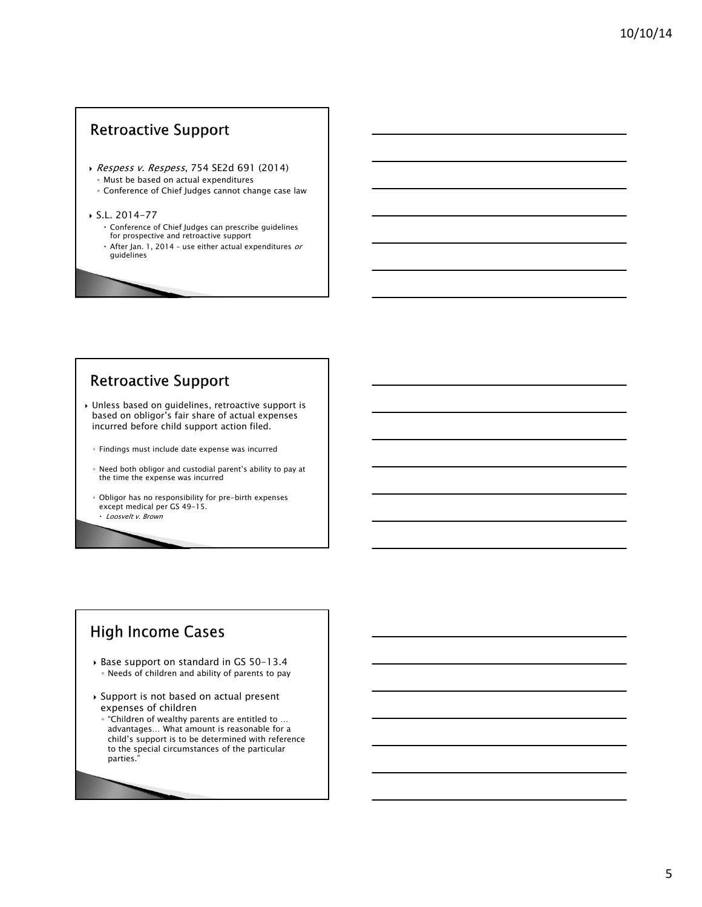#### **Retroactive Support**  Respess v. Respess, 754 SE2d 691 (2014) ◦ Must be based on actual expenditures ◦ Conference of Chief Judges cannot change case law S.L. 2014-77 Conference of Chief Judges can prescribe guidelines for prospective and retroactive support After Jan. 1, 2014 – use either actual expenditures or guidelines

## **Retroactive Support**

- Unless based on guidelines, retroactive support is based on obligor's fair share of actual expenses incurred before child support action filed.
	- Findings must include date expense was incurred
	- Need both obligor and custodial parent's ability to pay at the time the expense was incurred
	- Obligor has no responsibility for pre-birth expenses except medical per GS 49-15. Loosvelt v. Brown

#### **High Income Cases**

- Base support on standard in GS 50-13.4 ◦ Needs of children and ability of parents to pay
- Support is not based on actual present expenses of children
	- "Children of wealthy parents are entitled to … advantages… What amount is reasonable for a child's support is to be determined with reference to the special circumstances of the particular parties."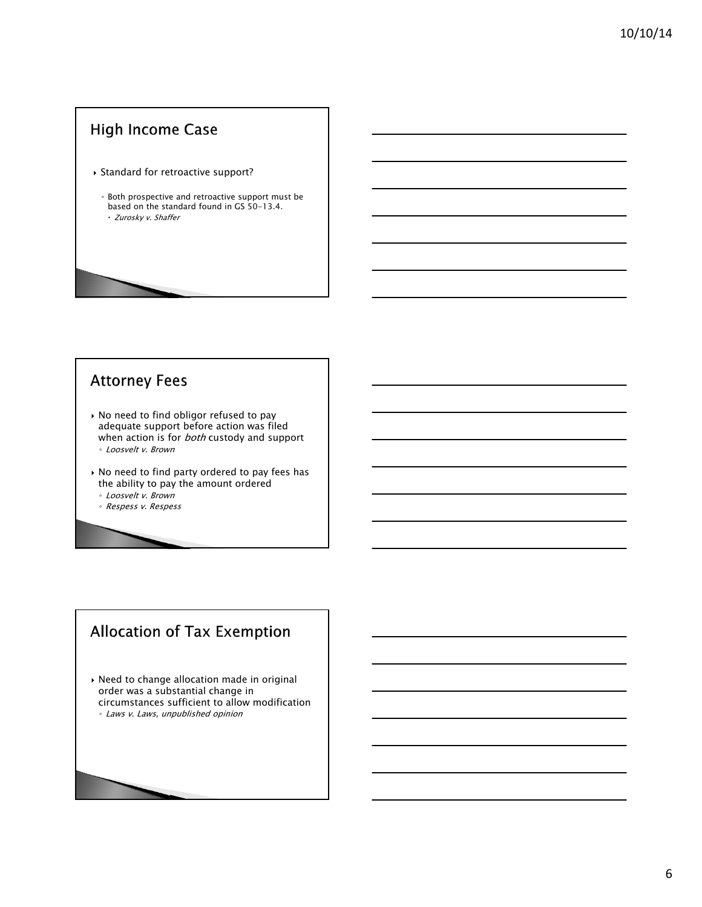## **High Income Case**

- Standard for retroactive support?
	- Both prospective and retroactive support must be based on the standard found in GS 50-13.4. • Zurosky v. Shaffer

## **Attorney Fees**

- No need to find obligor refused to pay adequate support before action was filed when action is for *both* custody and support ◦ Loosvelt v. Brown
- No need to find party ordered to pay fees has the ability to pay the amount ordered
	- Loosvelt v. Brown
	- Respess v. Respess

#### **Allocation of Tax Exemption**

 Need to change allocation made in original order was a substantial change in circumstances sufficient to allow modification ◦ Laws v. Laws, unpublished opinion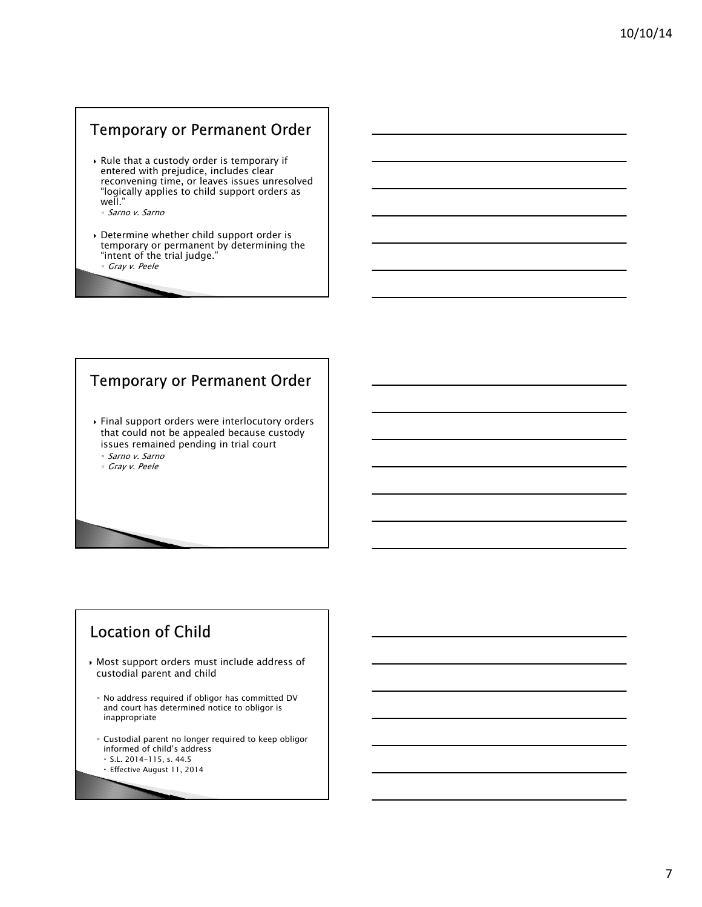#### **Temporary or Permanent Order**

- $\,\blacktriangleright\,$  Rule that a custody order is temporary if entered with prejudice, includes clear reconvening time, or leaves issues unresolved "logically applies to child support orders as well.' ◦ Sarno v. Sarno
- Determine whether child support order is temporary or permanent by determining the "intent of the trial judge." ◦ Gray v. Peele

## **Temporary or Permanent Order**

- Final support orders were interlocutory orders that could not be appealed because custody issues remained pending in trial court
	- Sarno v. Sarno
	- Gray v. Peele

#### **Location of Child**

- Most support orders must include address of custodial parent and child
	- No address required if obligor has committed DV and court has determined notice to obligor is inappropriate
	- Custodial parent no longer required to keep obligor informed of child's address
	- $\cdot$  S.L. 2014-115, s. 44.5
	- Effective August 11, 2014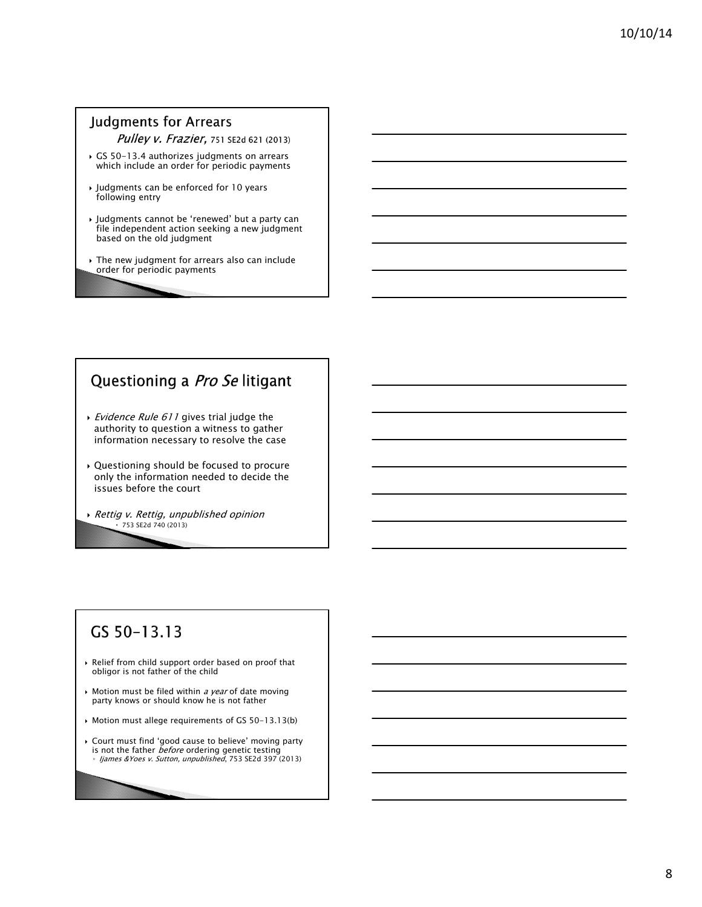#### **Judgments for Arrears**

Pulley v. Frazier, 751 SE2d 621 (2013)

- GS 50-13.4 authorizes judgments on arrears which include an order for periodic payments
- Judgments can be enforced for 10 years following entry
- Judgments cannot be 'renewed' but a party can file independent action seeking a new judgment based on the old judgment
- The new judgment for arrears also can include order for periodic payments

#### Questioning a Pro Se litigant

- $\rightarrow$  *Evidence Rule 611* gives trial judge the authority to question a witness to gather information necessary to resolve the case
- Questioning should be focused to procure only the information needed to decide the issues before the court
- Rettig v. Rettig, unpublished opinion 753 SE2d 740 (2013)

## GS 50-13.13

- Relief from child support order based on proof that obligor is not father of the child
- $\rightarrow$  Motion must be filed within a year of date moving party knows or should know he is not father
- Motion must allege requirements of GS 50-13.13(b)
- Court must find 'good cause to believe' moving party is not the father *before* ordering genetic testing ◦ Ijames &Yoes v. Sutton, unpublished, 753 SE2d 397 (2013)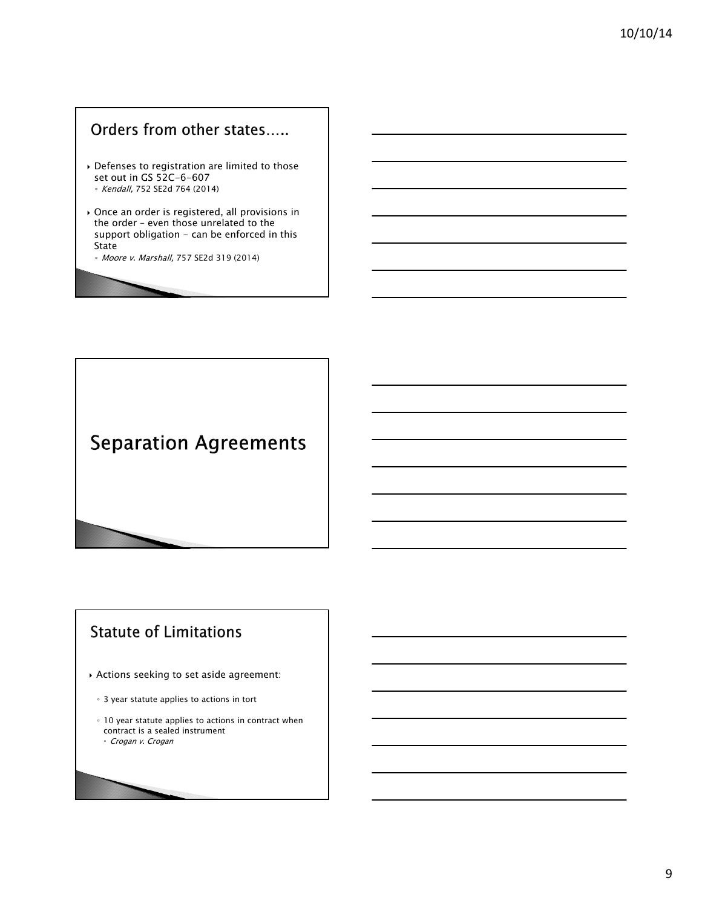## Orders from other states.....

- Defenses to registration are limited to those set out in GS 52C-6-607 ◦ Kendall, 752 SE2d 764 (2014)
- Once an order is registered, all provisions in the order – even those unrelated to the support obligation - can be enforced in this State
	- Moore v. Marshall, 757 SE2d 319 (2014)



## **Statute of Limitations**

- Actions seeking to set aside agreement:
	- 3 year statute applies to actions in tort
	- 10 year statute applies to actions in contract when contract is a sealed instrument Crogan v. Crogan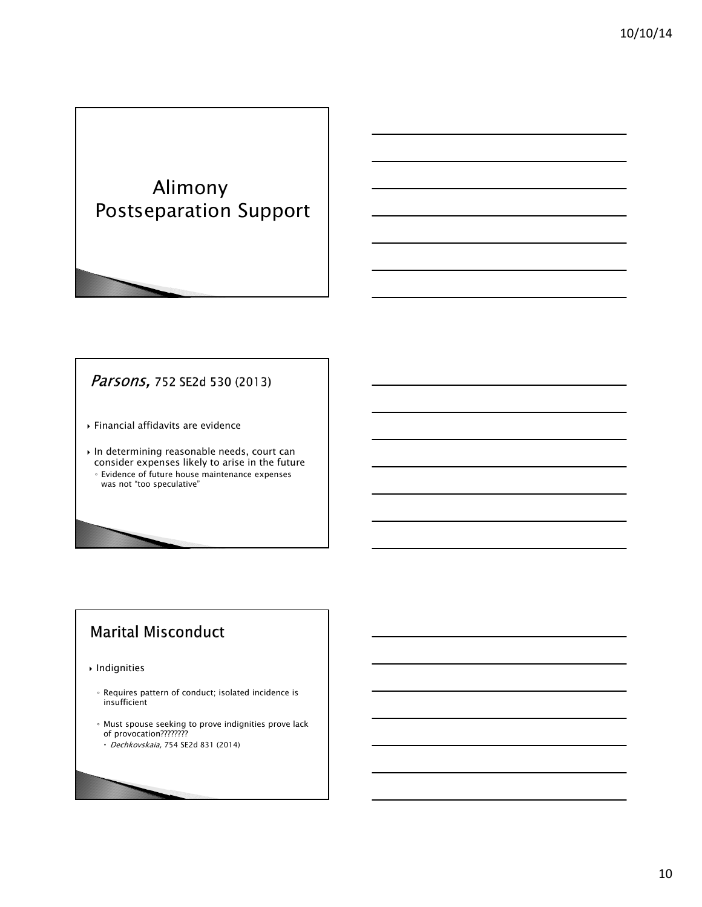

#### Parsons, 752 SE2d 530 (2013)

- Financial affidavits are evidence
- In determining reasonable needs, court can consider expenses likely to arise in the future ◦ Evidence of future house maintenance expenses was not "too speculative"

## **Marital Misconduct**

- Indignities
	- Requires pattern of conduct; isolated incidence is insufficient
	- Must spouse seeking to prove indignities prove lack of provocation????????
	- $\cdot$  Dechkovskaia, 754 SE2d 831 (2014)